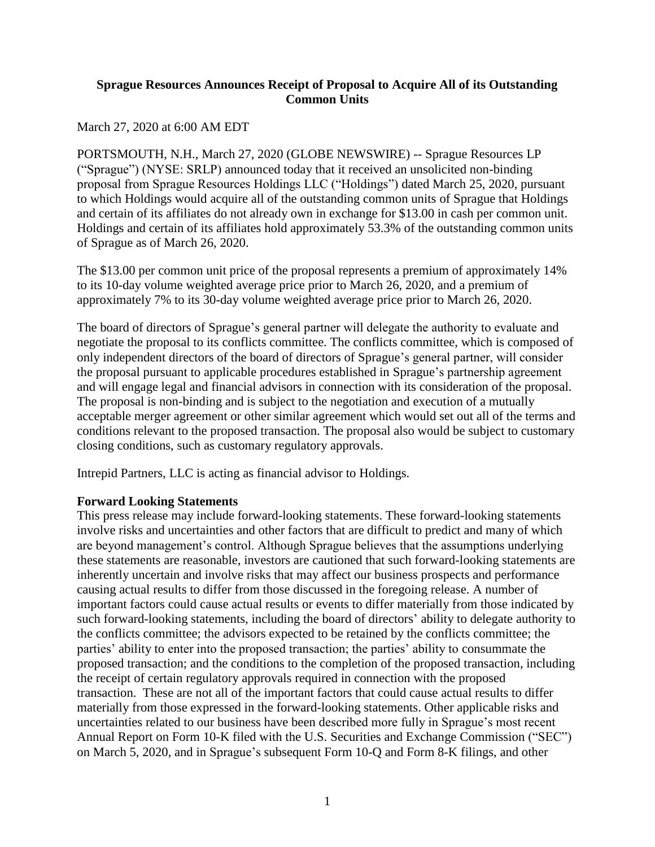## **Sprague Resources Announces Receipt of Proposal to Acquire All of its Outstanding Common Units**

## March 27, 2020 at 6:00 AM EDT

PORTSMOUTH, N.H., March 27, 2020 (GLOBE NEWSWIRE) -- Sprague Resources LP ("Sprague") (NYSE: SRLP) announced today that it received an unsolicited non-binding proposal from Sprague Resources Holdings LLC ("Holdings") dated March 25, 2020, pursuant to which Holdings would acquire all of the outstanding common units of Sprague that Holdings and certain of its affiliates do not already own in exchange for \$13.00 in cash per common unit. Holdings and certain of its affiliates hold approximately 53.3% of the outstanding common units of Sprague as of March 26, 2020.

The \$13.00 per common unit price of the proposal represents a premium of approximately 14% to its 10-day volume weighted average price prior to March 26, 2020, and a premium of approximately 7% to its 30-day volume weighted average price prior to March 26, 2020.

The board of directors of Sprague's general partner will delegate the authority to evaluate and negotiate the proposal to its conflicts committee. The conflicts committee, which is composed of only independent directors of the board of directors of Sprague's general partner, will consider the proposal pursuant to applicable procedures established in Sprague's partnership agreement and will engage legal and financial advisors in connection with its consideration of the proposal. The proposal is non-binding and is subject to the negotiation and execution of a mutually acceptable merger agreement or other similar agreement which would set out all of the terms and conditions relevant to the proposed transaction. The proposal also would be subject to customary closing conditions, such as customary regulatory approvals.

Intrepid Partners, LLC is acting as financial advisor to Holdings.

## **Forward Looking Statements**

This press release may include forward-looking statements. These forward-looking statements involve risks and uncertainties and other factors that are difficult to predict and many of which are beyond management's control. Although Sprague believes that the assumptions underlying these statements are reasonable, investors are cautioned that such forward-looking statements are inherently uncertain and involve risks that may affect our business prospects and performance causing actual results to differ from those discussed in the foregoing release. A number of important factors could cause actual results or events to differ materially from those indicated by such forward-looking statements, including the board of directors' ability to delegate authority to the conflicts committee; the advisors expected to be retained by the conflicts committee; the parties' ability to enter into the proposed transaction; the parties' ability to consummate the proposed transaction; and the conditions to the completion of the proposed transaction, including the receipt of certain regulatory approvals required in connection with the proposed transaction. These are not all of the important factors that could cause actual results to differ materially from those expressed in the forward-looking statements. Other applicable risks and uncertainties related to our business have been described more fully in Sprague's most recent Annual Report on Form 10-K filed with the U.S. Securities and Exchange Commission ("SEC") on March 5, 2020, and in Sprague's subsequent Form 10-Q and Form 8-K filings, and other